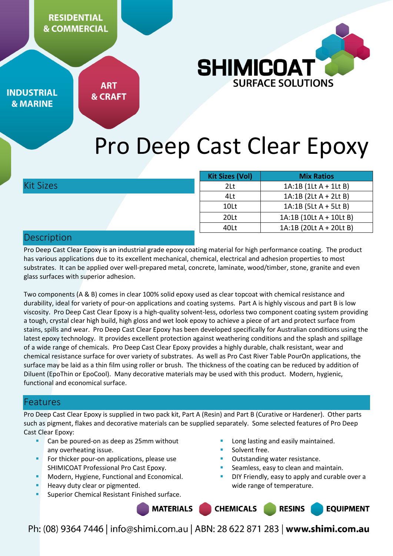

**INDUSTRIAL & MARINE** 

**ART & CRAFT** 

# Pro Deep Cast Clear Epoxy

|                  | <b>Kit Sizes (Vol)</b> | <b>Mix Ratios</b>        |
|------------------|------------------------|--------------------------|
| <b>Kit Sizes</b> | 2Lt                    | $1A:1B(1LtA + 1LtB)$     |
|                  | 4Lt                    | $1A:1B(2Lt A + 2Lt B)$   |
|                  | 10Lt                   | $1A:1B$ (5Lt A + 5Lt B)  |
|                  | 20 <sub>lt</sub>       | $1A:1B(10Lt A + 10Lt B)$ |
|                  | 40Lt                   | 1A:1B (20Lt A + 20Lt B)  |
| Dosecintion      |                        |                          |

## Description

Pro Deep Cast Clear Epoxy is an industrial grade epoxy coating material for high performance coating. The product has various applications due to its excellent mechanical, chemical, electrical and adhesion properties to most substrates. It can be applied over well-prepared metal, concrete, laminate, wood/timber, stone, granite and even glass surfaces with superior adhesion.

Two components (A & B) comes in clear 100% solid epoxy used as clear topcoat with chemical resistance and durability, ideal for variety of pour-on applications and coating systems. Part A is highly viscous and part B is low viscosity. Pro Deep Cast Clear Epoxy is a high-quality solvent-less, odorless two component coating system providing a tough, crystal clear high build, high gloss and wet look epoxy to achieve a piece of art and protect surface from stains, spills and wear. Pro Deep Cast Clear Epoxy has been developed specifically for Australian conditions using the latest epoxy technology. It provides excellent protection against weathering conditions and the splash and spillage of a wide range of chemicals. Pro Deep Cast Clear Epoxy provides a highly durable, chalk resistant, wear and chemical resistance surface for over variety of substrates. As well as Pro Cast River Table PourOn applications, the surface may be laid as a thin film using roller or brush. The thickness of the coating can be reduced by addition of Diluent (EpoThin or EpoCool). Many decorative materials may be used with this product. Modern, hygienic, functional and economical surface.

## Features

Pro Deep Cast Clear Epoxy is supplied in two pack kit, Part A (Resin) and Part B (Curative or Hardener). Other parts such as pigment, flakes and decorative materials can be supplied separately. Some selected features of Pro Deep Cast Clear Epoxy:

- Can be poured-on as deep as 25mm without any overheating issue.
- For thicker pour-on applications, please use SHIMICOAT Professional Pro Cast Epoxy.
- Modern, Hygiene, Functional and Economical.
- Heavy duty clear or pigmented.
- Superior Chemical Resistant Finished surface.
- Long lasting and easily maintained.
- Solvent free.
- Outstanding water resistance.
- Seamless, easy to clean and maintain.
- DIY Friendly, easy to apply and curable over a wide range of temperature.

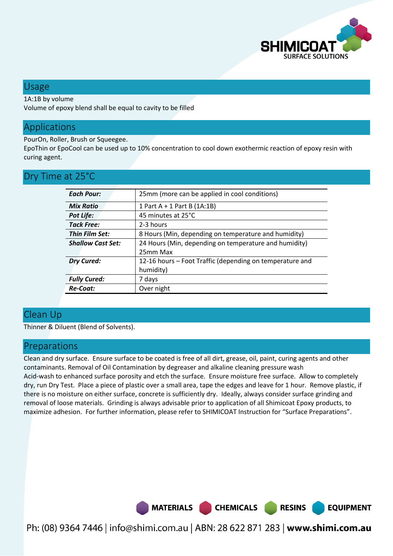

#### Usage

#### 1A:1B by volume

Volume of epoxy blend shall be equal to cavity to be filled

# Applications

PourOn, Roller, Brush or Squeegee.

EpoThin or EpoCool can be used up to 10% concentration to cool down exothermic reaction of epoxy resin with curing agent.

# Dry Time at 25°C

| <b>Each Pour:</b>        | 25mm (more can be applied in cool conditions)            |
|--------------------------|----------------------------------------------------------|
| Mix Ratio                | 1 Part $A + 1$ Part B (1A:1B)                            |
| <b>Pot Life:</b>         | 45 minutes at 25°C                                       |
| <b>Tack Free:</b>        | 2-3 hours                                                |
| Thin Film Set:           | 8 Hours (Min, depending on temperature and humidity)     |
| <b>Shallow Cast Set:</b> | 24 Hours (Min, depending on temperature and humidity)    |
|                          | 25mm Max                                                 |
| <b>Dry Cured:</b>        | 12-16 hours – Foot Traffic (depending on temperature and |
|                          | humidity)                                                |
| <b>Fully Cured:</b>      | 7 days                                                   |
| Re-Coat:                 | Over night                                               |

## Clean Up

Thinner & Diluent (Blend of Solvents).

#### Preparations

Clean and dry surface. Ensure surface to be coated is free of all dirt, grease, oil, paint, curing agents and other contaminants. Removal of Oil Contamination by degreaser and alkaline cleaning pressure wash Acid-wash to enhanced surface porosity and etch the surface. Ensure moisture free surface. Allow to completely dry, run Dry Test. Place a piece of plastic over a small area, tape the edges and leave for 1 hour. Remove plastic, if there is no moisture on either surface, concrete is sufficiently dry. Ideally, always consider surface grinding and removal of loose materials. Grinding is always advisable prior to application of all Shimicoat Epoxy products, to maximize adhesion. For further information, please refer to SHIMICOAT Instruction for "Surface Preparations".

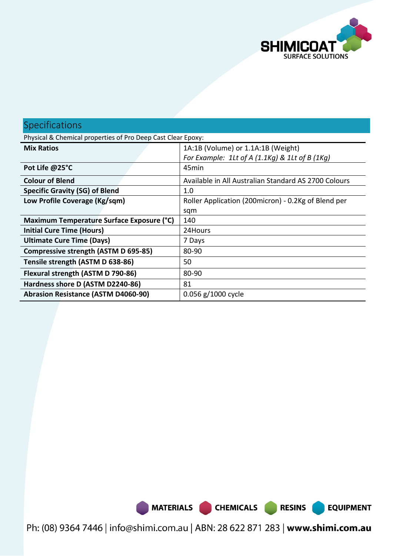

# Specifications

| Physical & Chemical properties of Pro Deep Cast Clear Epoxy: |                                                      |  |  |
|--------------------------------------------------------------|------------------------------------------------------|--|--|
| <b>Mix Ratios</b>                                            | 1A:1B (Volume) or 1.1A:1B (Weight)                   |  |  |
|                                                              | For Example: 1Lt of A $(1.1Kq)$ & 1Lt of B $(1Kq)$   |  |  |
| Pot Life @25°C                                               | 45 <sub>min</sub>                                    |  |  |
| <b>Colour of Blend</b>                                       | Available in All Australian Standard AS 2700 Colours |  |  |
| <b>Specific Gravity (SG) of Blend</b>                        | 1.0                                                  |  |  |
| Low Profile Coverage (Kg/sqm)                                | Roller Application (200micron) - 0.2Kg of Blend per  |  |  |
|                                                              | sqm                                                  |  |  |
| Maximum Temperature Surface Exposure (°C)                    | 140                                                  |  |  |
| <b>Initial Cure Time (Hours)</b>                             | 24Hours                                              |  |  |
| <b>Ultimate Cure Time (Days)</b>                             | 7 Days                                               |  |  |
| Compressive strength (ASTM D 695-85)                         | 80-90                                                |  |  |
| Tensile strength (ASTM D 638-86)                             | 50                                                   |  |  |
| Flexural strength (ASTM D 790-86)                            | 80-90                                                |  |  |
| Hardness shore D (ASTM D2240-86)                             | 81                                                   |  |  |
| <b>Abrasion Resistance (ASTM D4060-90)</b>                   | 0.056 g/1000 cycle                                   |  |  |

Ph: (08) 9364 7446 | info@shimi.com.au | ABN: 28 622 871 283 | www.shimi.com.au

MATERIALS CHEMICALS RESINS

**EQUIPMENT**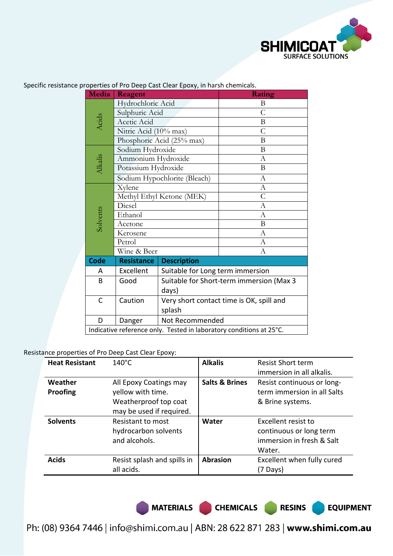

| Media                                                               | Reagent                   |                                          | Rating           |  |
|---------------------------------------------------------------------|---------------------------|------------------------------------------|------------------|--|
|                                                                     | Hydrochloric Acid         |                                          | B                |  |
|                                                                     | Sulphuric Acid            |                                          | $\overline{C}$   |  |
| Acids                                                               | Acetic Acid               |                                          | B                |  |
|                                                                     | Nitric Acid (10% max)     |                                          | $\mathcal{C}$    |  |
|                                                                     |                           | Phosphoric Acid (25% max)                | B                |  |
|                                                                     | Sodium Hydroxide          |                                          | B                |  |
|                                                                     | Ammonium Hydroxide        |                                          | $\mathbf{A}$     |  |
| Alkalis                                                             | Potassium Hydroxide       |                                          | B                |  |
|                                                                     |                           | Sodium Hypochlorite (Bleach)             | $\Lambda$        |  |
|                                                                     | Xylene                    |                                          | $\mathbf{A}$     |  |
|                                                                     | Methyl Ethyl Ketone (MEK) |                                          | $\overline{C}$   |  |
|                                                                     | Diesel                    |                                          | $\Lambda$        |  |
| Solvents                                                            | Ethanol                   |                                          | А                |  |
|                                                                     | Acetone                   |                                          | B                |  |
|                                                                     | Kerosene                  |                                          | $\boldsymbol{A}$ |  |
|                                                                     | Petrol                    |                                          | A                |  |
|                                                                     | Wine & Beer               |                                          | $\mathbf{A}$     |  |
| Code                                                                | <b>Resistance</b>         | <b>Description</b>                       |                  |  |
| A                                                                   | Excellent                 | Suitable for Long term immersion         |                  |  |
| B                                                                   | Good                      | Suitable for Short-term immersion (Max 3 |                  |  |
|                                                                     |                           | days)                                    |                  |  |
| C                                                                   | Caution                   | Very short contact time is OK, spill and |                  |  |
|                                                                     | splash                    |                                          |                  |  |
| D                                                                   | Danger                    | Not Recommended                          |                  |  |
| Indicative reference only. Tested in laboratory conditions at 25°C. |                           |                                          |                  |  |

Specific resistance properties of Pro Deep Cast Clear Epoxy, in harsh chemicals.

#### Resistance properties of Pro Deep Cast Clear Epoxy:

| <b>Heat Resistant</b> | $140^{\circ}$ C                                                                                  | <b>Alkalis</b>            | <b>Resist Short term</b><br>immersion in all alkalis.                                 |
|-----------------------|--------------------------------------------------------------------------------------------------|---------------------------|---------------------------------------------------------------------------------------|
| Weather<br>Proofing   | All Epoxy Coatings may<br>yellow with time.<br>Weatherproof top coat<br>may be used if required. | <b>Salts &amp; Brines</b> | Resist continuous or long-<br>term immersion in all Salts<br>& Brine systems.         |
| <b>Solvents</b>       | Resistant to most<br>hydrocarbon solvents<br>and alcohols.                                       | Water                     | Excellent resist to<br>continuous or long term<br>immersion in fresh & Salt<br>Water. |
| <b>Acids</b>          | Resist splash and spills in<br>all acids.                                                        | <b>Abrasion</b>           | Excellent when fully cured<br>(7 Days)                                                |

MATERIALS CHEMICALS RESINS

**EQUIPMENT**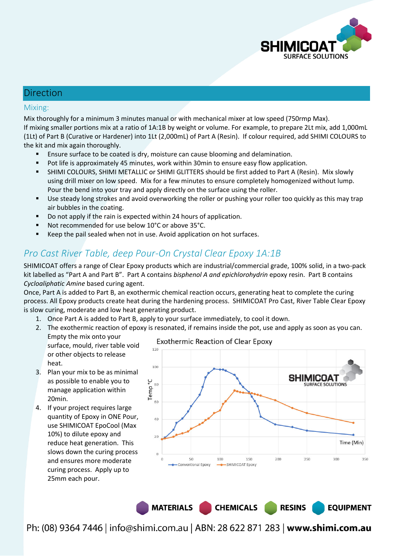

#### Direction

#### Mixing:

Mix thoroughly for a minimum 3 minutes manual or with mechanical mixer at low speed (750rmp Max). If mixing smaller portions mix at a ratio of 1A:1B by weight or volume. For example, to prepare 2Lt mix, add 1,000mL (1Lt) of Part B (Curative or Hardener) into 1Lt (2,000mL) of Part A (Resin). If colour required, add SHIMI COLOURS to the kit and mix again thoroughly.

- Ensure surface to be coated is dry, moisture can cause blooming and delamination.
- Pot life is approximately 45 minutes, work within 30min to ensure easy flow application.
- SHIMI COLOURS, SHIMI METALLIC or SHIMI GLITTERS should be first added to Part A (Resin). Mix slowly using drill mixer on low speed. Mix for a few minutes to ensure completely homogenized without lump. Pour the bend into your tray and apply directly on the surface using the roller.
- Use steady long strokes and avoid overworking the roller or pushing your roller too quickly as this may trap air bubbles in the coating.
- Do not apply if the rain is expected within 24 hours of application.
- Not recommended for use below 10°C or above 35°C.
- Keep the pail sealed when not in use. Avoid application on hot surfaces.

# *Pro Cast River Table, deep Pour-On Crystal Clear Epoxy 1A:1B*

SHIMICOAT offers a range of Clear Epoxy products which are industrial/commercial grade, 100% solid, in a two-pack kit labelled as "Part A and Part B". Part A contains *bisphenol A and epichlorohydrin* epoxy resin. Part B contains *Cycloaliphatic Amine* based curing agent.

Once, Part A is added to Part B, an exothermic chemical reaction occurs, generating heat to complete the curing process. All Epoxy products create heat during the hardening process. SHIMICOAT Pro Cast, River Table Clear Epoxy is slow curing, moderate and low heat generating product.

- 1. Once Part A is added to Part B, apply to your surface immediately, to cool it down.
- 2. The exothermic reaction of epoxy is resonated, if remains inside the pot, use and apply as soon as you can.
	- Empty the mix onto your surface, mould, river table void or other objects to release heat.
- 3. Plan your mix to be as minimal as possible to enable you to manage application within 20min.
- 4. If your project requires large quantity of Epoxy in ONE Pour, use SHIMICOAT EpoCool (Max 10%) to dilute epoxy and reduce heat generation. This slows down the curing process and ensures more moderate curing process. Apply up to 25mm each pour.



**RESINS** 

**EQUIPMENT** 

MATERIALS CHEMICALS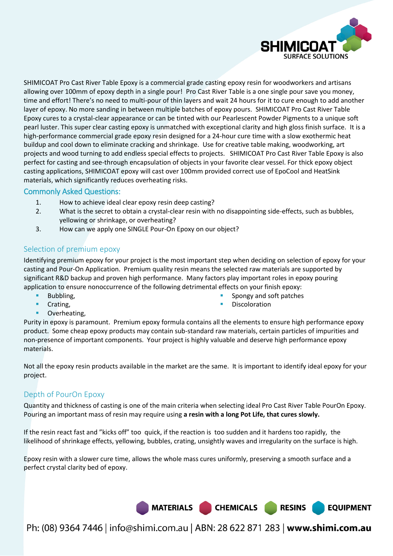

**EQUIPMENT** 

SHIMICOAT Pro Cast River Table Epoxy is a commercial grade casting epoxy resin for woodworkers and artisans allowing over 100mm of epoxy depth in a single pour! Pro Cast River Table is a one single pour save you money, time and effort! There's no need to multi-pour of thin layers and wait 24 hours for it to cure enough to add another layer of epoxy. No more sanding in between multiple batches of epoxy pours. SHIMICOAT Pro Cast River Table Epoxy cures to a crystal-clear appearance or can be tinted with our Pearlescent Powder Pigments to a unique soft pearl luster. This super clear casting epoxy is unmatched with exceptional clarity and high gloss finish surface. It is a high-performance commercial grade epoxy resin designed for a 24-hour cure time with a slow exothermic heat buildup and cool down to eliminate cracking and shrinkage. Use for creative table making, woodworking, art projects and wood turning to add endless special effects to projects. SHIMICOAT Pro Cast River Table Epoxy is also perfect for casting and see-through encapsulation of objects in your favorite clear vessel. For thick epoxy object casting applications, SHIMICOAT epoxy will cast over 100mm provided correct use of EpoCool and HeatSink materials, which significantly reduces overheating risks.

#### Commonly Asked Questions:

- 1. How to achieve ideal clear epoxy resin deep casting?
- 2. What is the secret to obtain a crystal-clear resin with no disappointing side-effects, such as bubbles, yellowing or shrinkage, or overheating?
- 3. How can we apply one SINGLE Pour-On Epoxy on our object?

#### Selection of premium epoxy

Identifying premium epoxy for your project is the most important step when deciding on selection of epoxy for your casting and Pour-On Application. Premium quality resin means the selected raw materials are supported by significant R&D backup and proven high performance. Many factors play important roles in epoxy pouring application to ensure nonoccurrence of the following detrimental effects on your finish epoxy:

Bubbling,

- Spongy and soft patches
	- Discoloration

**Crating,** Overheating,

Purity in epoxy is paramount. Premium epoxy formula contains all the elements to ensure high performance epoxy product. Some cheap epoxy products may contain sub-standard raw materials, certain particles of impurities and non-presence of important components. Your project is highly valuable and deserve high performance epoxy materials.

Not all the epoxy resin products available in the market are the same. It is important to identify ideal epoxy for your project.

#### Depth of PourOn Epoxy

Quantity and thickness of casting is one of the main criteria when selecting ideal Pro Cast River Table PourOn Epoxy. Pouring an important mass of resin may require using **a resin with a long Pot Life, that cures slowly.**

If the resin react fast and "kicks off" too quick, if the reaction is too sudden and it hardens too rapidly, the likelihood of shrinkage effects, yellowing, bubbles, crating, unsightly waves and irregularity on the surface is high.

Epoxy resin with a slower cure time, allows the whole mass cures uniformly, preserving a smooth surface and a perfect crystal clarity bed of epoxy.

MATERIALS CHEMICALS RESINS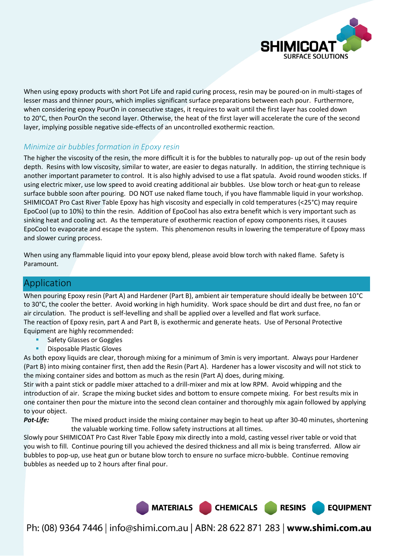

When using epoxy products with short Pot Life and rapid curing process, resin may be poured-on in multi-stages of lesser mass and thinner pours, which implies significant surface preparations between each pour. Furthermore, when considering epoxy PourOn in consecutive stages, it requires to wait until the first layer has cooled down to 20°C, then PourOn the second layer. Otherwise, the heat of the first layer will accelerate the cure of the second layer, implying possible negative side-effects of an uncontrolled exothermic reaction.

#### *Minimize air bubbles formation in Epoxy resin*

The higher the viscosity of the resin, the more difficult it is for the bubbles to naturally pop- up out of the resin body depth. Resins with low viscosity, similar to water, are easier to degas naturally. In addition, the stirring technique is another important parameter to control. It is also highly advised to use a flat spatula. Avoid round wooden sticks. If using electric mixer, use low speed to avoid creating additional air bubbles. Use blow torch or heat-gun to release surface bubble soon after pouring. DO NOT use naked flame touch, if you have flammable liquid in your workshop. SHIMICOAT Pro Cast River Table Epoxy has high viscosity and especially in cold temperatures (<25°C) may require EpoCool (up to 10%) to thin the resin. Addition of EpoCool has also extra benefit which is very important such as sinking heat and cooling act. As the temperature of exothermic reaction of epoxy components rises, it causes EpoCool to evaporate and escape the system. This phenomenon results in lowering the temperature of Epoxy mass and slower curing process.

When using any flammable liquid into your epoxy blend, please avoid blow torch with naked flame. Safety is Paramount.

#### Application

When pouring Epoxy resin (Part A) and Hardener (Part B), ambient air temperature should ideally be between 10°C to 30°C, the cooler the better. Avoid working in high humidity. Work space should be dirt and dust free, no fan or air circulation. The product is self-levelling and shall be applied over a levelled and flat work surface. The reaction of Epoxy resin, part A and Part B, is exothermic and generate heats. Use of Personal Protective Equipment are highly recommended:

- Safety Glasses or Goggles
- Disposable Plastic Gloves

As both epoxy liquids are clear, thorough mixing for a minimum of 3min is very important. Always pour Hardener (Part B) into mixing container first, then add the Resin (Part A). Hardener has a lower viscosity and will not stick to the mixing container sides and bottom as much as the resin (Part A) does, during mixing.

Stir with a paint stick or paddle mixer attached to a drill-mixer and mix at low RPM. Avoid whipping and the introduction of air. Scrape the mixing bucket sides and bottom to ensure compete mixing. For best results mix in one container then pour the mixture into the second clean container and thoroughly mix again followed by applying to your object.

*Pot-Life:* The mixed product inside the mixing container may begin to heat up after 30-40 minutes, shortening the valuable working time. Follow safety instructions at all times.

Slowly pour SHIMICOAT Pro Cast River Table Epoxy mix directly into a mold, casting vessel river table or void that you wish to fill. Continue pouring till you achieved the desired thickness and all mix is being transferred. Allow air bubbles to pop-up, use heat gun or butane blow torch to ensure no surface micro-bubble. Continue removing bubbles as needed up to 2 hours after final pour.



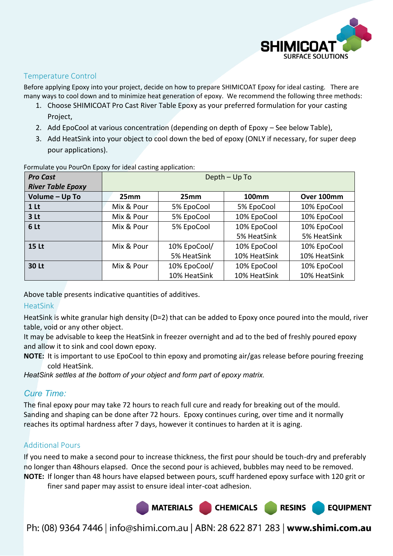

#### Temperature Control

Before applying Epoxy into your project, decide on how to prepare SHIMICOAT Epoxy for ideal casting. There are many ways to cool down and to minimize heat generation of epoxy. We recommend the following three methods:

- 1. Choose SHIMICOAT Pro Cast River Table Epoxy as your preferred formulation for your casting Project,
- 2. Add EpoCool at various concentration (depending on depth of Epoxy See below Table),
- 3. Add HeatSink into your object to cool down the bed of epoxy (ONLY if necessary, for super deep pour applications).

| <b>Pro Cast</b>          | Depth - Up To |              |              |              |
|--------------------------|---------------|--------------|--------------|--------------|
| <b>River Table Epoxy</b> |               |              |              |              |
| Volume - Up To           | 25mm          | 25mm         | <b>100mm</b> | Over 100mm   |
| 1 <sub>lt</sub>          | Mix & Pour    | 5% EpoCool   | 5% EpoCool   | 10% EpoCool  |
| 3 <sub>lt</sub>          | Mix & Pour    | 5% EpoCool   | 10% EpoCool  | 10% EpoCool  |
| 6 Lt                     | Mix & Pour    | 5% EpoCool   | 10% EpoCool  | 10% EpoCool  |
|                          |               |              | 5% HeatSink  | 5% HeatSink  |
| <b>15 Lt</b>             | Mix & Pour    | 10% EpoCool/ | 10% EpoCool  | 10% EpoCool  |
|                          |               | 5% HeatSink  | 10% HeatSink | 10% HeatSink |
| <b>30 Lt</b>             | Mix & Pour    | 10% EpoCool/ | 10% EpoCool  | 10% EpoCool  |
|                          |               | 10% HeatSink | 10% HeatSink | 10% HeatSink |

Formulate you PourOn Epoxy for ideal casting application:

Above table presents indicative quantities of additives.

#### **HeatSink**

HeatSink is white granular high density (D=2) that can be added to Epoxy once poured into the mould, river table, void or any other object.

It may be advisable to keep the HeatSink in freezer overnight and ad to the bed of freshly poured epoxy and allow it to sink and cool down epoxy.

**NOTE:** It is important to use EpoCool to thin epoxy and promoting air/gas release before pouring freezing cold HeatSink.

*HeatSink settles at the bottom of your object and form part of epoxy matrix.*

#### *Cure Time:*

The final epoxy pour may take 72 hours to reach full cure and ready for breaking out of the mould. Sanding and shaping can be done after 72 hours. Epoxy continues curing, over time and it normally reaches its optimal hardness after 7 days, however it continues to harden at it is aging.

#### Additional Pours

If you need to make a second pour to increase thickness, the first pour should be touch-dry and preferably no longer than 48hours elapsed. Once the second pour is achieved, bubbles may need to be removed. **NOTE:** If longer than 48 hours have elapsed between pours, scuff hardened epoxy surface with 120 grit or

finer sand paper may assist to ensure ideal inter-coat adhesion.

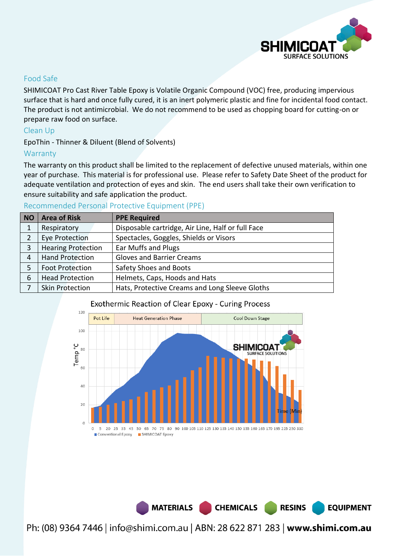

#### Food Safe

SHIMICOAT Pro Cast River Table Epoxy is Volatile Organic Compound (VOC) free, producing impervious surface that is hard and once fully cured, it is an inert polymeric plastic and fine for incidental food contact. The product is not antimicrobial. We do not recommend to be used as chopping board for cutting-on or prepare raw food on surface.

#### Clean Up

EpoThin - Thinner & Diluent (Blend of Solvents)

#### **Warranty**

The warranty on this product shall be limited to the replacement of defective unused materials, within one year of purchase. This material is for professional use. Please refer to Safety Date Sheet of the product for adequate ventilation and protection of eyes and skin. The end users shall take their own verification to ensure suitability and safe application the product.

#### Recommended Personal Protective Equipment (PPE)

| NO | <b>Area of Risk</b>       | <b>PPE Required</b>                               |
|----|---------------------------|---------------------------------------------------|
| 1  | Respiratory               | Disposable cartridge, Air Line, Half or full Face |
|    | <b>Eye Protection</b>     | Spectacles, Goggles, Shields or Visors            |
| 3  | <b>Hearing Protection</b> | Ear Muffs and Plugs                               |
| 4  | <b>Hand Protection</b>    | <b>Gloves and Barrier Creams</b>                  |
|    | <b>Foot Protection</b>    | Safety Shoes and Boots                            |
| 6  | <b>Head Protection</b>    | Helmets, Caps, Hoods and Hats                     |
|    | <b>Skin Protection</b>    | Hats, Protective Creams and Long Sleeve Gloths    |

#### **Exothermic Reaction of Clear Epoxy - Curing Process**



MATERIALS CHEMICALS

Ph: (08) 9364 7446 | info@shimi.com.au | ABN: 28 622 871 283 | www.shimi.com.au

**RESINS** 

**EQUIPMENT**